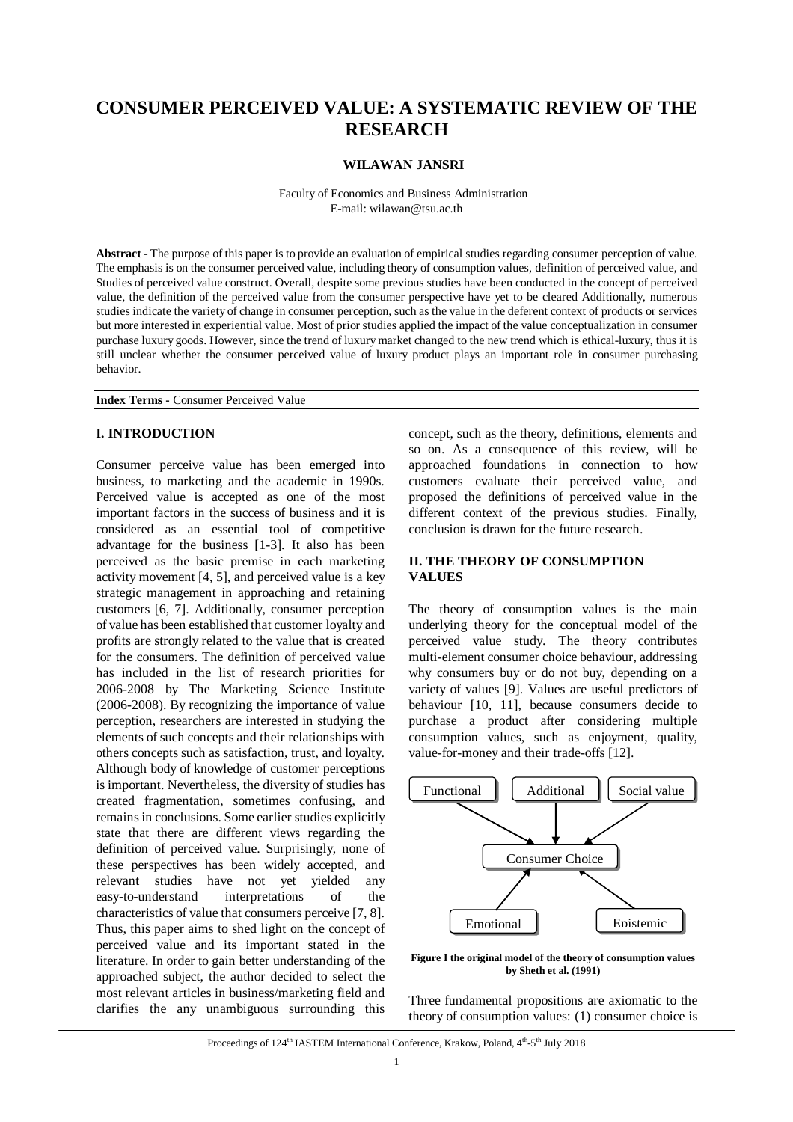# **CONSUMER PERCEIVED VALUE: A SYSTEMATIC REVIEW OF THE RESEARCH**

## **WILAWAN JANSRI**

Faculty of Economics and Business Administration E-mail: wilawan@tsu.ac.th

**Abstract** - The purpose of this paper is to provide an evaluation of empirical studies regarding consumer perception of value. The emphasis is on the consumer perceived value, including theory of consumption values, definition of perceived value, and Studies of perceived value construct. Overall, despite some previous studies have been conducted in the concept of perceived value, the definition of the perceived value from the consumer perspective have yet to be cleared Additionally, numerous studies indicate the variety of change in consumer perception, such as the value in the deferent context of products or services but more interested in experiential value. Most of prior studies applied the impact of the value conceptualization in consumer purchase luxury goods. However, since the trend of luxury market changed to the new trend which is ethical-luxury, thus it is still unclear whether the consumer perceived value of luxury product plays an important role in consumer purchasing behavior.

**Index Terms -** Consumer Perceived Value

## **I. INTRODUCTION**

Consumer perceive value has been emerged into business, to marketing and the academic in 1990s. Perceived value is accepted as one of the most important factors in the success of business and it is considered as an essential tool of competitive advantage for the business [1-3]. It also has been perceived as the basic premise in each marketing activity movement [4, 5], and perceived value is a key strategic management in approaching and retaining customers [6, 7]. Additionally, consumer perception of value has been established that customer loyalty and profits are strongly related to the value that is created for the consumers. The definition of perceived value has included in the list of research priorities for 2006-2008 by The Marketing Science Institute (2006-2008). By recognizing the importance of value perception, researchers are interested in studying the elements of such concepts and their relationships with others concepts such as satisfaction, trust, and loyalty. Although body of knowledge of customer perceptions is important. Nevertheless, the diversity of studies has created fragmentation, sometimes confusing, and remains in conclusions. Some earlier studies explicitly state that there are different views regarding the definition of perceived value. Surprisingly, none of these perspectives has been widely accepted, and relevant studies have not yet yielded any easy-to-understand interpretations of the characteristics of value that consumers perceive [7, 8]. Thus, this paper aims to shed light on the concept of perceived value and its important stated in the literature. In order to gain better understanding of the approached subject, the author decided to select the most relevant articles in business/marketing field and clarifies the any unambiguous surrounding this concept, such as the theory, definitions, elements and so on. As a consequence of this review, will be approached foundations in connection to how customers evaluate their perceived value, and proposed the definitions of perceived value in the different context of the previous studies. Finally, conclusion is drawn for the future research.

## **II. THE THEORY OF CONSUMPTION VALUES**

The theory of consumption values is the main underlying theory for the conceptual model of the perceived value study. The theory contributes multi-element consumer choice behaviour, addressing why consumers buy or do not buy, depending on a variety of values [9]. Values are useful predictors of behaviour [10, 11], because consumers decide to purchase a product after considering multiple consumption values, such as enjoyment, quality, value-for-money and their trade-offs [12].



**Figure I the original model of the theory of consumption values by Sheth et al. (1991)**

Three fundamental propositions are axiomatic to the theory of consumption values: (1) consumer choice is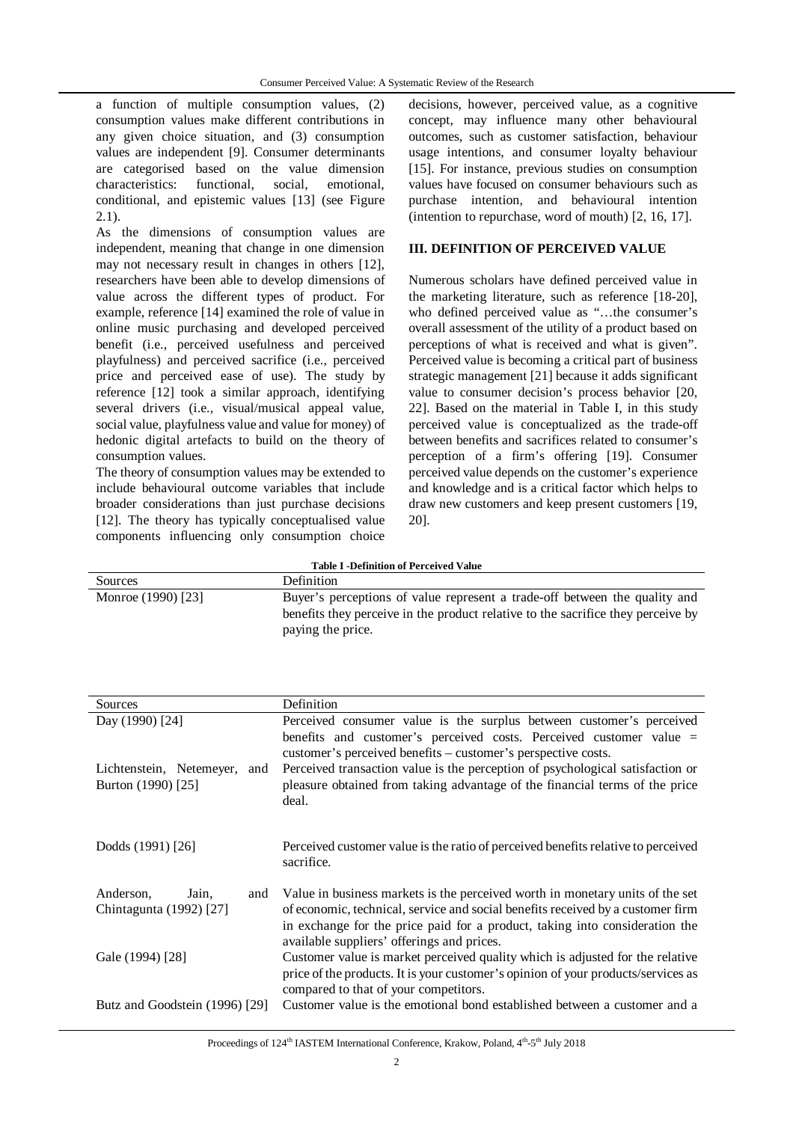a function of multiple consumption values, (2) consumption values make different contributions in any given choice situation, and (3) consumption values are independent [9]. Consumer determinants are categorised based on the value dimension characteristics: functional, social, emotional, conditional, and epistemic values [13] (see Figure 2.1).

As the dimensions of consumption values are independent, meaning that change in one dimension may not necessary result in changes in others [12], researchers have been able to develop dimensions of value across the different types of product. For example, reference [14] examined the role of value in online music purchasing and developed perceived benefit (i.e., perceived usefulness and perceived playfulness) and perceived sacrifice (i.e., perceived price and perceived ease of use). The study by reference [12] took a similar approach, identifying several drivers (i.e., visual/musical appeal value, social value, playfulness value and value for money) of hedonic digital artefacts to build on the theory of consumption values.

The theory of consumption values may be extended to include behavioural outcome variables that include broader considerations than just purchase decisions [12]. The theory has typically conceptualised value components influencing only consumption choice decisions, however, perceived value, as a cognitive concept, may influence many other behavioural outcomes, such as customer satisfaction, behaviour usage intentions, and consumer loyalty behaviour [15]. For instance, previous studies on consumption values have focused on consumer behaviours such as purchase intention, and behavioural intention (intention to repurchase, word of mouth) [2, 16, 17].

## **III. DEFINITION OF PERCEIVED VALUE**

Numerous scholars have defined perceived value in the marketing literature, such as reference [18-20], who defined perceived value as "...the consumer's overall assessment of the utility of a product based on perceptions of what is received and what is given". Perceived value is becoming a critical part of business strategic management [21] because it adds significant value to consumer decision's process behavior [20, 22]. Based on the material in Table I, in this study perceived value is conceptualized as the trade-off between benefits and sacrifices related to consumer's perception of a firm's offering [19]. Consumer perceived value depends on the customer's experience and knowledge and is a critical factor which helps to draw new customers and keep present customers [19, 20].

| <b>Table I -Definition of Perceived Value</b> |                                                                                  |  |  |
|-----------------------------------------------|----------------------------------------------------------------------------------|--|--|
| Sources                                       | <b>Definition</b>                                                                |  |  |
| Monroe (1990) [23]                            | Buyer's perceptions of value represent a trade-off between the quality and       |  |  |
|                                               | benefits they perceive in the product relative to the sacrifice they perceive by |  |  |
|                                               | paying the price.                                                                |  |  |

| Sources                                               | Definition                                                                                                                                                                                                                                                                                                     |
|-------------------------------------------------------|----------------------------------------------------------------------------------------------------------------------------------------------------------------------------------------------------------------------------------------------------------------------------------------------------------------|
| Day (1990) [24]                                       | Perceived consumer value is the surplus between customer's perceived                                                                                                                                                                                                                                           |
| Lichtenstein, Netemeyer,<br>and<br>Burton (1990) [25] | benefits and customer's perceived costs. Perceived customer value =<br>customer's perceived benefits – customer's perspective costs.<br>Perceived transaction value is the perception of psychological satisfaction or<br>pleasure obtained from taking advantage of the financial terms of the price<br>deal. |
| Dodds (1991) [26]                                     | Perceived customer value is the ratio of perceived benefits relative to perceived<br>sacrifice.                                                                                                                                                                                                                |
| Anderson,<br>Jain,<br>and<br>Chintagunta (1992) [27]  | Value in business markets is the perceived worth in monetary units of the set<br>of economic, technical, service and social benefits received by a customer firm<br>in exchange for the price paid for a product, taking into consideration the                                                                |
| Gale (1994) [28]                                      | available suppliers' offerings and prices.<br>Customer value is market perceived quality which is adjusted for the relative<br>price of the products. It is your customer's opinion of your products/services as<br>compared to that of your competitors.                                                      |
| Butz and Goodstein (1996) [29]                        | Customer value is the emotional bond established between a customer and a                                                                                                                                                                                                                                      |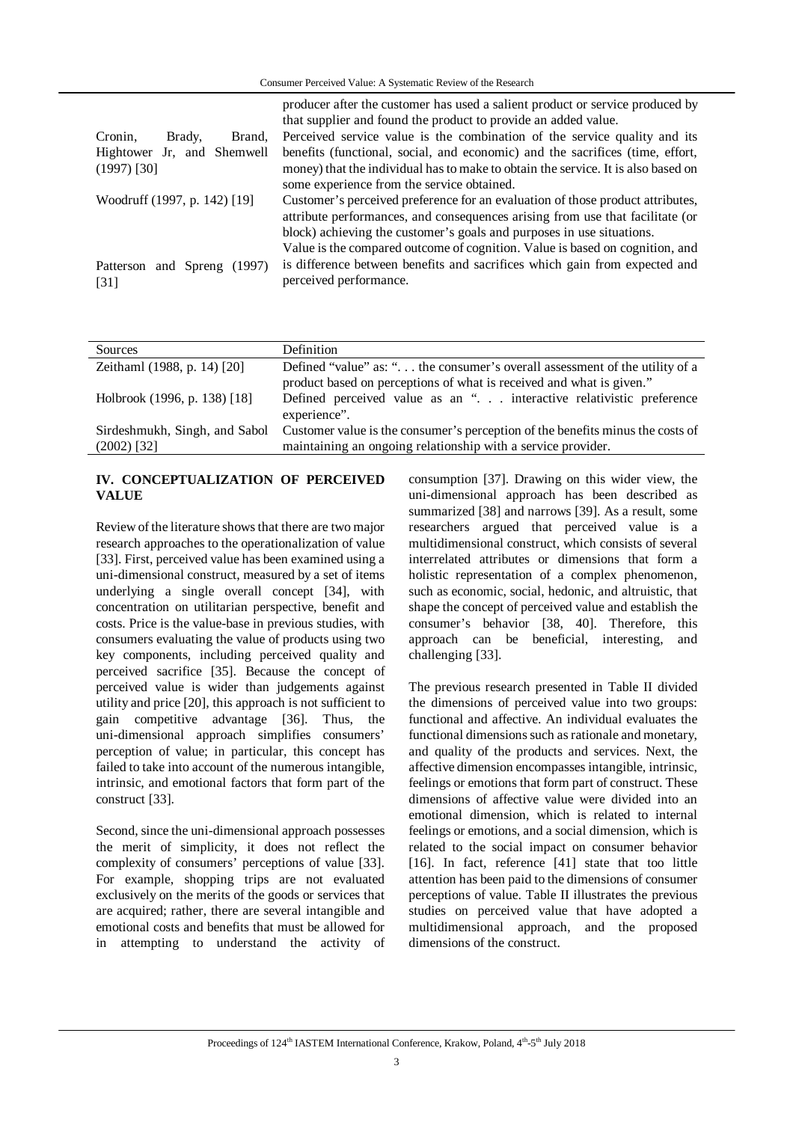|                                | producer after the customer has used a salient product or service produced by     |  |  |
|--------------------------------|-----------------------------------------------------------------------------------|--|--|
|                                | that supplier and found the product to provide an added value.                    |  |  |
| Cronin.<br>Brady.<br>Brand.    | Perceived service value is the combination of the service quality and its         |  |  |
| Hightower Jr, and Shemwell     | benefits (functional, social, and economic) and the sacrifices (time, effort,     |  |  |
| $(1997)$ [30]                  | money) that the individual has to make to obtain the service. It is also based on |  |  |
|                                | some experience from the service obtained.                                        |  |  |
| Woodruff (1997, p. 142) [19]   | Customer's perceived preference for an evaluation of those product attributes,    |  |  |
|                                | attribute performances, and consequences arising from use that facilitate (or     |  |  |
|                                | block) achieving the customer's goals and purposes in use situations.             |  |  |
|                                | Value is the compared outcome of cognition. Value is based on cognition, and      |  |  |
| and Spreng (1997)<br>Patterson | is difference between benefits and sacrifices which gain from expected and        |  |  |
| $\lceil 31 \rceil$             | perceived performance.                                                            |  |  |
|                                |                                                                                   |  |  |

| Sources                       | Definition                                                                     |
|-------------------------------|--------------------------------------------------------------------------------|
| Zeithaml (1988, p. 14) [20]   | Defined "value" as: " the consumer's overall assessment of the utility of a    |
|                               | product based on perceptions of what is received and what is given."           |
| Holbrook (1996, p. 138) [18]  | Defined perceived value as an ". interactive relativistic preference           |
|                               | experience".                                                                   |
| Sirdeshmukh, Singh, and Sabol | Customer value is the consumer's perception of the benefits minus the costs of |
| $(2002)$ [32]                 | maintaining an ongoing relationship with a service provider.                   |

## **IV. CONCEPTUALIZATION OF PERCEIVED VALUE**

Review of the literature shows that there are two major research approaches to the operationalization of value [33]. First, perceived value has been examined using a uni-dimensional construct, measured by a set of items underlying a single overall concept [34], with concentration on utilitarian perspective, benefit and costs. Price is the value-base in previous studies, with consumers evaluating the value of products using two key components, including perceived quality and perceived sacrifice [35]. Because the concept of perceived value is wider than judgements against utility and price [20], this approach is not sufficient to gain competitive advantage [36]. Thus, the uni-dimensional approach simplifies consumers' perception of value; in particular, this concept has failed to take into account of the numerous intangible, intrinsic, and emotional factors that form part of the construct [33].

Second, since the uni-dimensional approach possesses the merit of simplicity, it does not reflect the complexity of consumers' perceptions of value [33]. For example, shopping trips are not evaluated exclusively on the merits of the goods or services that are acquired; rather, there are several intangible and emotional costs and benefits that must be allowed for in attempting to understand the activity of consumption [37]. Drawing on this wider view, the uni-dimensional approach has been described as summarized [38] and narrows [39]. As a result, some researchers argued that perceived value is a multidimensional construct, which consists of several interrelated attributes or dimensions that form a holistic representation of a complex phenomenon, such as economic, social, hedonic, and altruistic, that shape the concept of perceived value and establish the consumer's behavior [38, 40]. Therefore, this approach can be beneficial, interesting, and challenging [33].

The previous research presented in Table II divided the dimensions of perceived value into two groups: functional and affective. An individual evaluates the functional dimensions such as rationale and monetary, and quality of the products and services. Next, the affective dimension encompasses intangible, intrinsic, feelings or emotions that form part of construct. These dimensions of affective value were divided into an emotional dimension, which is related to internal feelings or emotions, and a social dimension, which is related to the social impact on consumer behavior [16]. In fact, reference [41] state that too little attention has been paid to the dimensions of consumer perceptions of value. Table II illustrates the previous studies on perceived value that have adopted a multidimensional approach, and the proposed dimensions of the construct.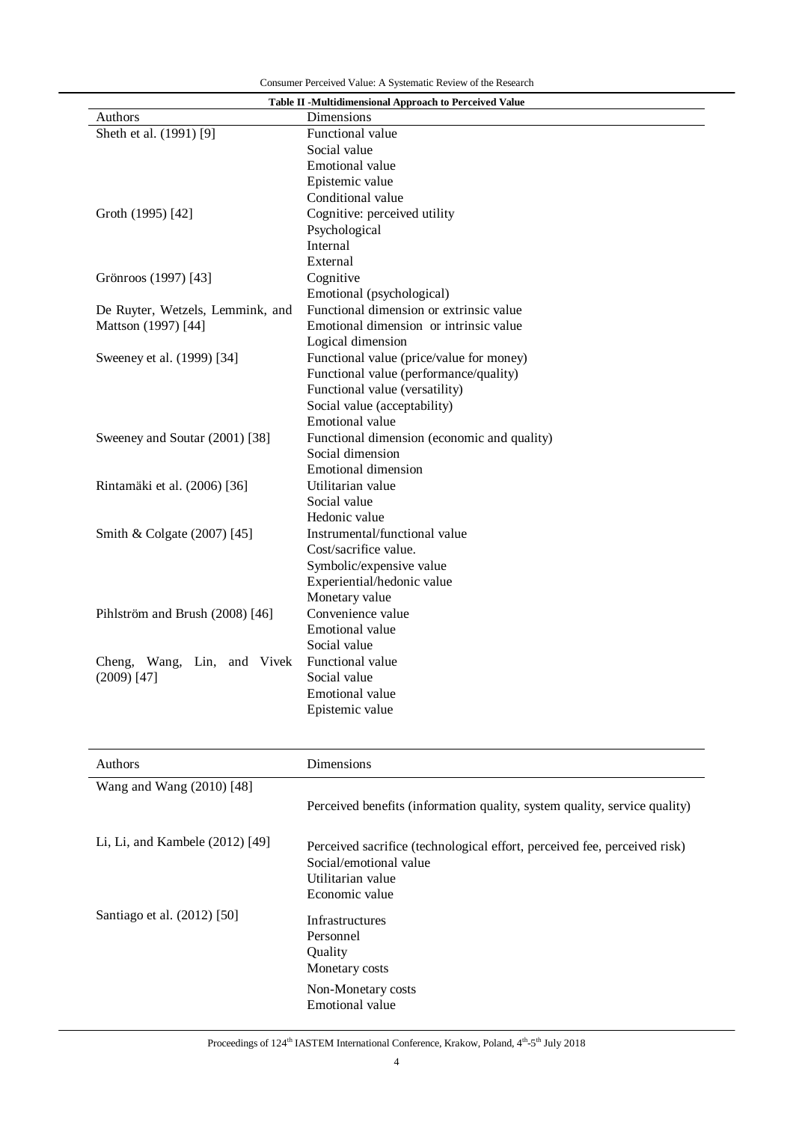| Table II -Multidimensional Approach to Perceived Value |                                             |  |  |  |
|--------------------------------------------------------|---------------------------------------------|--|--|--|
| <b>Authors</b>                                         | Dimensions                                  |  |  |  |
| Sheth et al. (1991) [9]                                | Functional value                            |  |  |  |
|                                                        | Social value                                |  |  |  |
|                                                        | Emotional value                             |  |  |  |
|                                                        | Epistemic value                             |  |  |  |
|                                                        | Conditional value                           |  |  |  |
| Groth (1995) [42]                                      | Cognitive: perceived utility                |  |  |  |
|                                                        | Psychological                               |  |  |  |
|                                                        | Internal                                    |  |  |  |
|                                                        | External                                    |  |  |  |
| Grönroos (1997) [43]                                   | Cognitive                                   |  |  |  |
|                                                        | Emotional (psychological)                   |  |  |  |
| De Ruyter, Wetzels, Lemmink, and                       | Functional dimension or extrinsic value     |  |  |  |
| Mattson (1997) [44]                                    | Emotional dimension or intrinsic value      |  |  |  |
|                                                        | Logical dimension                           |  |  |  |
| Sweeney et al. (1999) [34]                             | Functional value (price/value for money)    |  |  |  |
|                                                        | Functional value (performance/quality)      |  |  |  |
|                                                        | Functional value (versatility)              |  |  |  |
|                                                        | Social value (acceptability)                |  |  |  |
|                                                        | Emotional value                             |  |  |  |
| Sweeney and Soutar (2001) [38]                         | Functional dimension (economic and quality) |  |  |  |
|                                                        | Social dimension                            |  |  |  |
|                                                        | <b>Emotional dimension</b>                  |  |  |  |
| Rintamäki et al. (2006) [36]                           | Utilitarian value                           |  |  |  |
|                                                        | Social value                                |  |  |  |
|                                                        | Hedonic value                               |  |  |  |
| Smith & Colgate (2007) [45]                            | Instrumental/functional value               |  |  |  |
|                                                        | Cost/sacrifice value.                       |  |  |  |
|                                                        | Symbolic/expensive value                    |  |  |  |
|                                                        | Experiential/hedonic value                  |  |  |  |
|                                                        | Monetary value                              |  |  |  |
| Pihlström and Brush (2008) [46]                        | Convenience value                           |  |  |  |
|                                                        | Emotional value                             |  |  |  |
|                                                        | Social value                                |  |  |  |
| Cheng, Wang, Lin, and Vivek                            | Functional value                            |  |  |  |
| $(2009)$ [47]                                          | Social value                                |  |  |  |
|                                                        | Emotional value                             |  |  |  |
|                                                        | Epistemic value                             |  |  |  |

| <b>Authors</b>                    | Dimensions                                                                                                                                 |  |  |
|-----------------------------------|--------------------------------------------------------------------------------------------------------------------------------------------|--|--|
| Wang and Wang (2010) [48]         |                                                                                                                                            |  |  |
|                                   | Perceived benefits (information quality, system quality, service quality)                                                                  |  |  |
| Li, Li, and Kambele $(2012)$ [49] | Perceived sacrifice (technological effort, perceived fee, perceived risk)<br>Social/emotional value<br>Utilitarian value<br>Economic value |  |  |
| Santiago et al. (2012) [50]       | <b>Infrastructures</b><br>Personnel<br>Quality<br>Monetary costs                                                                           |  |  |
|                                   | Non-Monetary costs<br>Emotional value                                                                                                      |  |  |

#### Proceedings of 124<sup>th</sup> IASTEM International Conference, Krakow, Poland, 4<sup>th</sup>-5<sup>th</sup> July 2018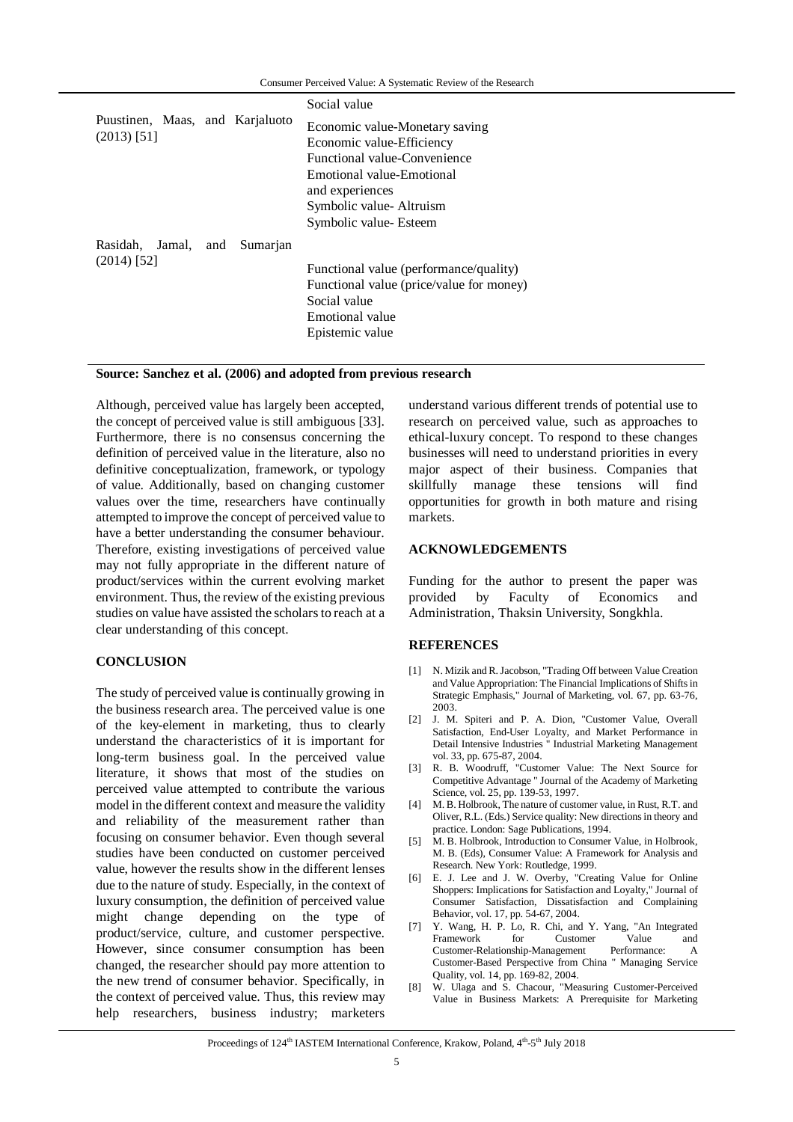|                                                  |          | Social value                                                                                                                                                                                    |
|--------------------------------------------------|----------|-------------------------------------------------------------------------------------------------------------------------------------------------------------------------------------------------|
| Puustinen, Maas, and Karjaluoto<br>$(2013)$ [51] |          | Economic value-Monetary saving<br>Economic value-Efficiency<br>Functional value-Convenience<br>Emotional value-Emotional<br>and experiences<br>Symbolic value-Altruism<br>Symbolic value-Esteem |
| Rasidah,<br>Jamal, and<br>$(2014)$ [52]          | Sumarjan | Functional value (performance/quality)<br>Functional value (price/value for money)<br>Social value<br>Emotional value<br>Epistemic value                                                        |

### **Source: Sanchez et al. (2006) and adopted from previous research**

Although, perceived value has largely been accepted, the concept of perceived value is still ambiguous [33]. Furthermore, there is no consensus concerning the definition of perceived value in the literature, also no definitive conceptualization, framework, or typology of value. Additionally, based on changing customer values over the time, researchers have continually attempted to improve the concept of perceived value to have a better understanding the consumer behaviour. Therefore, existing investigations of perceived value may not fully appropriate in the different nature of product/services within the current evolving market environment. Thus, the review of the existing previous studies on value have assisted the scholars to reach at a clear understanding of this concept.

## **CONCLUSION**

The study of perceived value is continually growing in the business research area. The perceived value is one of the key-element in marketing, thus to clearly understand the characteristics of it is important for long-term business goal. In the perceived value literature, it shows that most of the studies on perceived value attempted to contribute the various model in the different context and measure the validity and reliability of the measurement rather than focusing on consumer behavior. Even though several studies have been conducted on customer perceived value, however the results show in the different lenses due to the nature of study. Especially, in the context of luxury consumption, the definition of perceived value might change depending on the type of product/service, culture, and customer perspective. However, since consumer consumption has been changed, the researcher should pay more attention to the new trend of consumer behavior. Specifically, in the context of perceived value. Thus, this review may help researchers, business industry; marketers

understand various different trends of potential use to research on perceived value, such as approaches to ethical-luxury concept. To respond to these changes businesses will need to understand priorities in every major aspect of their business. Companies that skillfully manage these tensions will find opportunities for growth in both mature and rising markets.

## **ACKNOWLEDGEMENTS**

Funding for the author to present the paper was provided by Faculty of Economics and Administration, Thaksin University, Songkhla.

### **REFERENCES**

- [1] N. Mizik and R. Jacobson, "Trading Off between Value Creation and Value Appropriation: The Financial Implications of Shifts in Strategic Emphasis," Journal of Marketing, vol. 67, pp. 63-76, 2003.
- [2] J. M. Spiteri and P. A. Dion, "Customer Value, Overall Satisfaction, End-User Loyalty, and Market Performance in Detail Intensive Industries " Industrial Marketing Management vol. 33, pp. 675-87, 2004.
- [3] R. B. Woodruff, "Customer Value: The Next Source for Competitive Advantage " Journal of the Academy of Marketing Science, vol. 25, pp. 139-53, 1997.
- [4] M. B. Holbrook, The nature of customer value, in Rust, R.T. and Oliver, R.L. (Eds.) Service quality: New directions in theory and practice. London: Sage Publications, 1994.
- [5] M. B. Holbrook, Introduction to Consumer Value, in Holbrook, M. B. (Eds), Consumer Value: A Framework for Analysis and Research. New York: Routledge, 1999.
- [6] E. J. Lee and J. W. Overby, "Creating Value for Online Shoppers: Implications for Satisfaction and Loyalty," Journal of Consumer Satisfaction, Dissatisfaction and Complaining Behavior, vol. 17, pp. 54-67, 2004.
- [7] Y. Wang, H. P. Lo, R. Chi, and Y. Yang, "An Integrated Customer Customer-Relationship-Management Performance: A Customer-Based Perspective from China " Managing Service Quality, vol. 14, pp. 169-82, 2004.
- [8] W. Ulaga and S. Chacour, "Measuring Customer-Perceived Value in Business Markets: A Prerequisite for Marketing